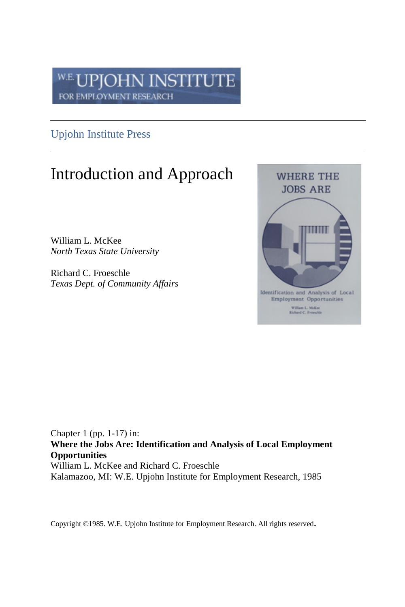#### **JPJOHN INSTITUTE** W.E. FOR EMPLOYMENT RESEARCH

# Upjohn Institute Press

# Introduction and Approach

William L. McKee *North Texas State University*

Richard C. Froeschle *Texas Dept. of Community Affairs*



Chapter 1 (pp. 1-17) in: **Where the Jobs Are: Identification and Analysis of Local Employment Opportunities** William L. McKee and Richard C. Froeschle Kalamazoo, MI: W.E. Upjohn Institute for Employment Research, 1985

Copyright ©1985. W.E. Upjohn Institute for Employment Research. All rights reserved.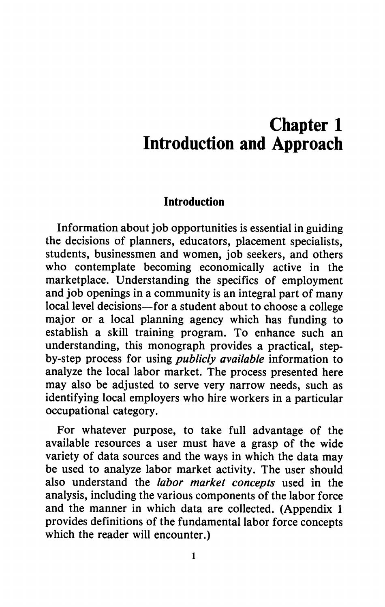# **Chapter 1 Introduction and Approach**

#### **Introduction**

Information about job opportunities is essential in guiding the decisions of planners, educators, placement specialists, students, businessmen and women, job seekers, and others who contemplate becoming economically active in the marketplace. Understanding the specifics of employment and job openings in <sup>a</sup> community is an integral part of many local level decisions—for <sup>a</sup> student about to choose <sup>a</sup> college major o<sup>r</sup> <sup>a</sup> local planning agency which has funding to establish <sup>a</sup> skill training program. To enhance such an understanding, this monograph provides a practical, stepby-step process for using *publicly available* information to analyze the local labor market. The process presented here may also be adjusted to serve very narrow needs, such as identifying local employers who hire workers in <sup>a</sup> particular occupational category.

For whatever purpose, to take full advantage of the available resources <sup>a</sup> user must have <sup>a</sup> grasp of the wide variety of data sources and the ways in which the data may be used to analyze labor market activity. The user should also understand the *labor market concepts* used in the analysis, including the various components of the labor force and the manner in which data are collected. (Appendix 1 provides definitions of the fundamental labor force concepts which the reader will encounter.)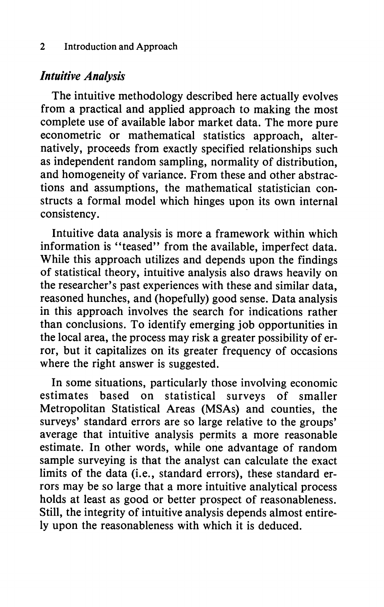# *Intuitive Analysis*

The intuitive methodology described here actually evolves from <sup>a</sup> practical and applied approach to making the most complete use of available labor market data. The more pure econometric o<sup>r</sup> mathematical statistics approach, alter natively, proceeds from exactly specified relationships such as independent random sampling, normality of distribution, and homogeneity of variance. From these and other abstrac tions and assumptions, the mathematical statistician con structs <sup>a</sup> formal model which hinges upon its own internal consistency.

Intuitive data analysis is more <sup>a</sup> framework within which information is "teased" from the available, imperfect data. While this approach utilizes and depends upon the findings of statistical theory, intuitive analysis also draws heavily on the researcher's past experiences with these and similar data, reasoned hunches, and (hopefully) good sense. Data analysis in this approach involves the search for indications rather than conclusions. To identify emerging job opportunities in the local area, the process may risk <sup>a</sup> greater possibility of er ror, but it capitalizes on its greater frequency of occasions where the right answer is suggested.

In some situations, particularly those involving economic estimates based on statistical surveys of smaller Metropolitan Statistical Areas (MSAs) and counties, the surveys' standard errors are so large relative to the groups' average that intuitive analysis permits <sup>a</sup> more reasonable estimate. In other words, while one advantage of random sample surveying is that the analyst can calculate the exact limits of the data (i.e., standard errors), these standard er rors may be so large that <sup>a</sup> more intuitive analytical process holds at least as good o<sup>r</sup> better prospect of reasonableness. Still, the integrity of intuitive analysis depends almost entire ly upon the reasonableness with which it is deduced.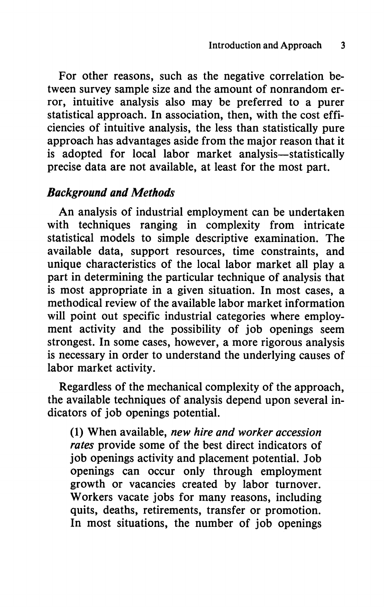For other reasons, such as the negative correlation be tween survey sample size and the amount of nonrandom er ror, intuitive analysis also may be preferred to <sup>a</sup> purer statistical approach. In association, then, with the cost effi ciencies of intuitive analysis, the less than statistically pure approach has advantages aside from the major reason that it is adopted for local labor market analysis—statistically precise data are not available, at least for the most part.

## *Background and Methods*

An analysis of industrial employment can be undertaken with techniques ranging in complexity from intricate statistical models to simple descriptive examination. The available data, support resources, time constraints, and unique characteristics of the local labor market all play <sup>a</sup> part in determining the particular technique of analysis that is most appropriate in <sup>a</sup> given situation. In most cases, <sup>a</sup> methodical review of the available labor market information will point out specific industrial categories where employment activity and the possibility of job openings seem strongest. In some cases, however, <sup>a</sup> more rigorous analysis is necessary in order to understand the underlying causes of labor market activity.

Regardless of the mechanical complexity of the approach, the available techniques of analysis depend upon several indicators of job openings potential.

(1) When available, *new hire and worker accession rates* provide some of the best direct indicators of job openings activity and placement potential. Job openings can occur only through employment growth o<sup>r</sup> vacancies created by labor turnover. Workers vacate jobs for many reasons, including quits, deaths, retirements, transfer o<sup>r</sup> promotion. In most situations, the number of job openings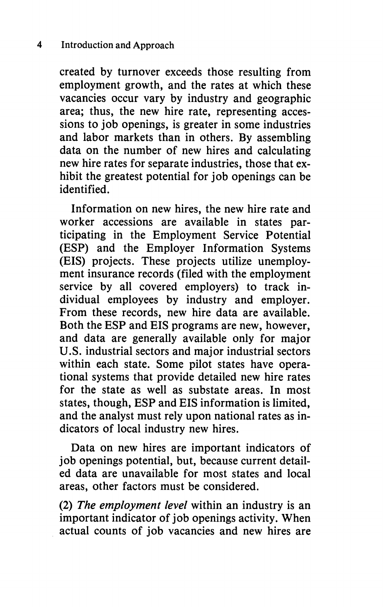created by turnover exceeds those resulting from employment growth, and the rates at which these vacancies occur vary by industry and geographic area; thus, the new hire rate, representing acces sions to job openings, is greater in some industries and labor markets than in others. By assembling data on the number of new hires and calculating new hire rates for separate industries, those that ex hibit the greatest potential for job openings can be identified.

Information on new hires, the new hire rate and worker accessions are available in states par ticipating in the Employment Service Potential (ESP) and the Employer Information Systems (EIS) projects. These projects utilize unemploy ment insurance records (filed with the employment service by all covered employers) to track in dividual employees by industry and employer. From these records, new hire data are available. Both the ESP and EIS programs are new, however, and data are generally available only for major U.S. industrial sectors and major industrial sectors within each state. Some pilot states have opera tional systems that provide detailed new hire rates for the state as well as substate areas. In most states, though, ESP and EIS information is limited, and the analyst must rely upon national rates as in dicators of local industry new hires.

Data on new hires are important indicators of job openings potential, but, because current detail ed data are unavailable for most states and local areas, other factors must be considered.

(2) *The employment level* within an industry is an important indicator of job openings activity. When actual counts of job vacancies and new hires are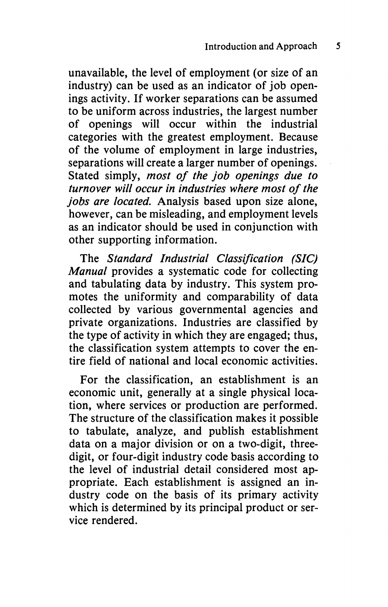unavailable, the level of employment (or size of an industry) can be used as an indicator of job openings activity. If worker separations can be assumed to be uniform across industries, the largest number of openings will occur within the industrial categories with the greatest employment. Because of the volume of employment in large industries, separations will create a larger number of openings. Stated simply, *most of the job openings due to turnover will occur in industries where most of the jobs are located.* Analysis based upon size alone, however, can be misleading, and employment levels as an indicator should be used in conjunction with other supporting information.

The *Standard Industrial Classification (SIC) Manual* provides a systematic code for collecting and tabulating data by industry. This system pro motes the uniformity and comparability of data collected by various governmental agencies and private organizations. Industries are classified by the type of activity in which they are engaged; thus, the classification system attempts to cover the en tire field of national and local economic activities.

For the classification, an establishment is an economic unit, generally at a single physical loca tion, where services or production are performed. The structure of the classification makes it possible to tabulate, analyze, and publish establishment data on a major division or on a two-digit, threedigit, or four-digit industry code basis according to the level of industrial detail considered most ap propriate. Each establishment is assigned an in dustry code on the basis of its primary activity which is determined by its principal product or service rendered.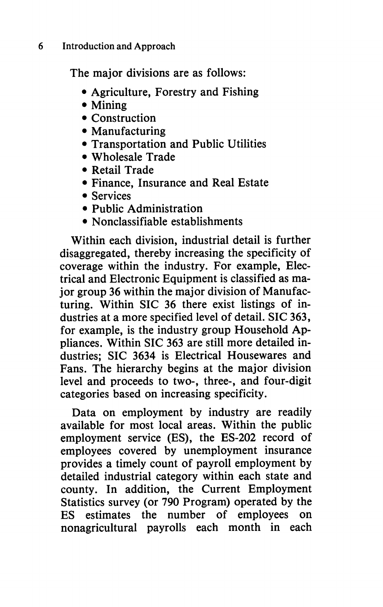The major divisions are as follows:

- Agriculture, Forestry and Fishing
- Mining
- Construction
- Manufacturing
- Transportation and Public Utilities
- Wholesale Trade
- Retail Trade
- Finance, Insurance and Real Estate
- Services
- Public Administration
- Nonclassifiable establishments

Within each division, industrial detail is further disaggregated, thereby increasing the specificity of coverage within the industry. For example, Elec trical and Electronic Equipment is classified as ma jor group 36 within the major division of Manufac turing. Within SIC 36 there exist listings of in dustries at <sup>a</sup> more specified level of detail. SIC 363, for example, is the industry group Household Ap pliances. Within SIC 363 are still more detailed in dustries; SIC 3634 is Electrical Housewares and Fans. The hierarchy begins at the major division level and proceeds to two-, three-, and four-digit categories based on increasing specificity.

Data on employment by industry are readily available for most local areas. Within the public employment service (ES), the ES-202 record of employees covered by unemployment insurance provides <sup>a</sup> timely count of payroll employment by detailed industrial category within each state and county. In addition, the Current Employment Statistics survey (or 790 Program) operated by the ES estimates the number of employees on nonagricultural payrolls each month in each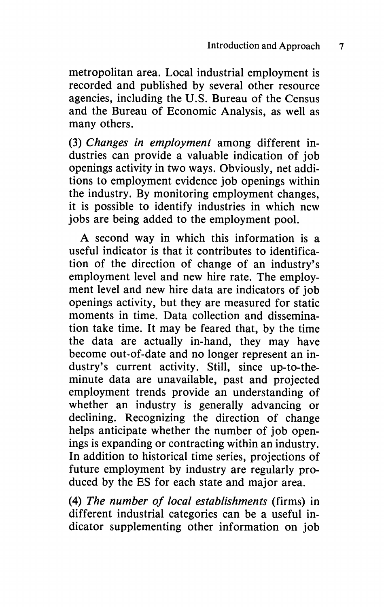7

metropolitan area. Local industrial employment is recorded and published by several other resource agencies, including the U.S. Bureau of the Census and the Bureau of Economic Analysis, as well as many others.

(3) *Changes in employment* among different in dustries can provide <sup>a</sup> valuable indication of job openings activity in two ways. Obviously, net addi tions to employment evidence job openings within the industry. By monitoring employment changes, it is possible to identify industries in which new jobs are being added to the employment pool.

A second way in which this information is <sup>a</sup> useful indicator is that it contributes to identifica tion of the direction of change of an industry's employment level and new hire rate. The employ ment level and new hire data are indicators of job openings activity, but they are measured for static moments in time. Data collection and dissemina tion take time. It may be feared that, by the time the data are actually in-hand, they may have become out-of-date and no longer represent an in dustry's current activity. Still, since up-to-theminute data are unavailable, past and projected employment trends provide an understanding of whether an industry is generally advancing or declining. Recognizing the direction of change helps anticipate whether the number of job openings is expanding o<sup>r</sup> contracting within an industry. In addition to historical time series, projections of future employment by industry are regularly pro duced by the ES for each state and major area.

(4) *The number of local establishments* (firms) in different industrial categories can be <sup>a</sup> useful in dicator supplementing other information on job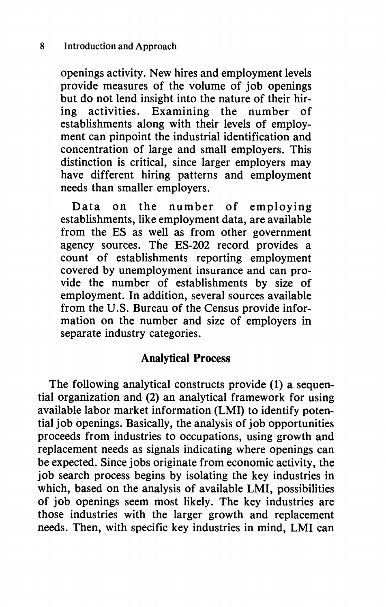#### <sup>8</sup> Introduction and Approach

openings activity. New hires and employment levels provide measures of the volume of job openings but do not lend insight into the nature of their hir ing activities. Examining the number of establishments along with their levels of employ ment can pinpoint the industrial identification and concentration of large and small employers. This distinction is critical, since larger employers may have different hiring patterns and employment needs than smaller employers.

Data on the number of employing establishments, like employment data, are available from the ES as well as from other government agency sources. The ES-202 record provides <sup>a</sup> count of establishments reporting employment covered by unemployment insurance and can pro vide the number of establishments by size of employment. In addition, several sources available from the U.S. Bureau of the Census provide infor mation on the number and size of employers in separate industry categories.

#### **Analytical Process**

The following analytical constructs provide (1) <sup>a</sup> sequen tial organization and (2) an analytical framework for using available labor market information (LMI) to identify poten tial job openings. Basically, the analysis of job opportunities proceeds from industries to occupations, using growth and replacement needs as signals indicating where openings can be expected. Since jobs originate from economic activity, the job search process begins by isolating the key industries in which, based on the analysis of available LMI, possibilities of job openings seem most likely. The key industries are those industries with the larger growth and replacement needs. Then, with specific key industries in mind, LMI can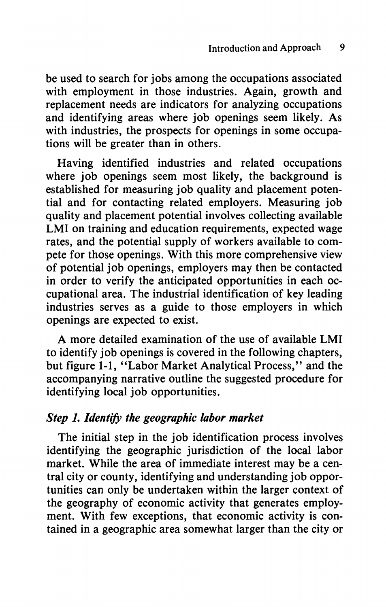be used to search for jobs among the occupations associated with employment in those industries. Again, growth and replacement needs are indicators for analyzing occupations and identifying areas where job openings seem likely. As with industries, the prospects for openings in some occupations will be greater than in others.

Having identified industries and related occupations where job openings seem most likely, the background is established for measuring job quality and placement poten tial and for contacting related employers. Measuring job quality and placement potential involves collecting available LMI on training and education requirements, expected wage rates, and the potential supply of workers available to com pete for those openings. With this more comprehensive view of potential job openings, employers may then be contacted in order to verify the anticipated opportunities in each oc cupational area. The industrial identification of key leading industries serves as <sup>a</sup> guide to those employers in which openings are expected to exist.

A more detailed examination of the use of available LMI to identify job openings is covered in the following chapters, but figure 1-1, "Labor Market Analytical Process," and the accompanying narrative outline the suggested procedure for identifying local job opportunities.

## *Step 1. Identify the geographic labor market*

The initial step in the job identification process involves identifying the geographic jurisdiction of the local labor market. While the area of immediate interest may be <sup>a</sup> cen tral city o<sup>r</sup> county, identifying and understanding job oppo<sup>r</sup> tunities can only be undertaken within the larger context of the geography of economic activity that generates employ ment. With few exceptions, that economic activity is con tained in a geographic area somewhat larger than the city o<sup>r</sup>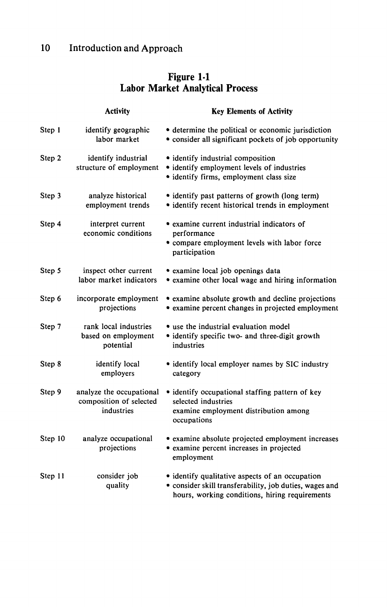## 10 Introduction and Approach

#### **Figure 1-1 Labor Market Analytical Process**

|         | <b>Activity</b>                                                   | <b>Key Elements of Activity</b>                                                                                                                              |
|---------|-------------------------------------------------------------------|--------------------------------------------------------------------------------------------------------------------------------------------------------------|
| Step 1  | identify geographic<br>labor market                               | • determine the political or economic jurisdiction<br>• consider all significant pockets of job opportunity                                                  |
| Step 2  | identify industrial<br>structure of employment                    | · identify industrial composition<br>• identify employment levels of industries<br>· identify firms, employment class size                                   |
| Step 3  | analyze historical<br>employment trends                           | • identify past patterns of growth (long term)<br>· identify recent historical trends in employment                                                          |
| Step 4  | interpret current<br>economic conditions                          | • examine current industrial indicators of<br>performance<br>• compare employment levels with labor force<br>participation                                   |
| Step 5  | inspect other current<br>labor market indicators                  | • examine local job openings data<br>• examine other local wage and hiring information                                                                       |
| Step 6  | incorporate employment<br>projections                             | • examine absolute growth and decline projections<br>• examine percent changes in projected employment                                                       |
| Step 7  | rank local industries<br>based on employment<br>potential         | • use the industrial evaluation model<br>• identify specific two- and three-digit growth<br>industries                                                       |
| Step 8  | identify local<br>employers                                       | • identify local employer names by SIC industry<br>category                                                                                                  |
| Step 9  | analyze the occupational<br>composition of selected<br>industries | • identify occupational staffing pattern of key<br>selected industries<br>examine employment distribution among<br>occupations                               |
| Step 10 | analyze occupational<br>projections                               | • examine absolute projected employment increases<br>• examine percent increases in projected<br>employment                                                  |
| Step 11 | consider job<br>quality                                           | • identify qualitative aspects of an occupation<br>• consider skill transferability, job duties, wages and<br>hours, working conditions, hiring requirements |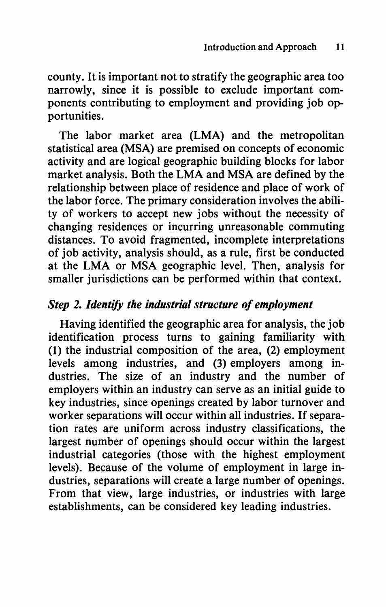county. It is important not to stratify the geographic area too narrowly, since it is possible to exclude important com ponents contributing to employment and providing job op portunities.

The labor market area (LMA) and the metropolitan statistical area (MSA) are premised on concepts of economic activity and are logical geographic building blocks for labor market analysis. Both the LMA and MSA are defined by the relationship between place of residence and place of work of the labor force. The primary consideration involves the abili ty of workers to accept new jobs without the necessity of changing residences o<sup>r</sup> incurring unreasonable commuting distances. To avoid fragmented, incomplete interpretations of job activity, analysis should, as <sup>a</sup> rule, first be conducted at the LMA o<sup>r</sup> MSA geographic level. Then, analysis for smaller jurisdictions can be performed within that context.

### *Step 2. Identify the industrial structure of employment*

Having identified the geographic area for analysis, the job identification process turns to gaining familiarity with (1) the industrial composition of the area, (2) employment levels among industries, and (3) employers among in dustries. The size of an industry and the number of employers within an industry can serve as an initial guide to key industries, since openings created by labor turnover and worker separations will occur within all industries. If separa tion rates are uniform across industry classifications, the largest number of openings should occur within the largest industrial categories (those with the highest employment levels). Because of the volume of employment in large in dustries, separations will create <sup>a</sup> large number of openings. From that view, large industries, o<sup>r</sup> industries with large establishments, can be considered key leading industries.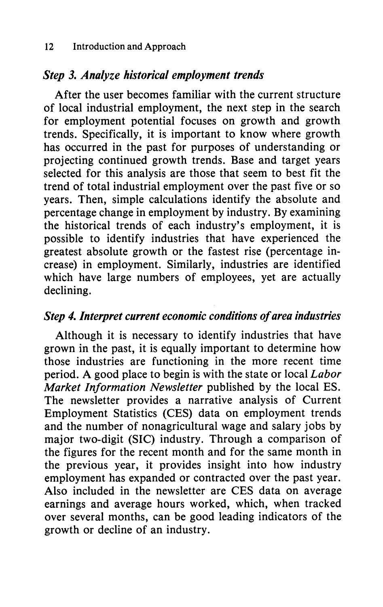## *Step 3. Analyze historical employment trends*

After the user becomes familiar with the current structure of local industrial employment, the next step in the search for employment potential focuses on growth and growth trends. Specifically, it is important to know where growth has occurred in the past for purposes of understanding o<sup>r</sup> projecting continued growth trends. Base and target years selected for this analysis are those that seem to best fit the trend of total industrial employment over the past five o<sup>r</sup> so years. Then, simple calculations identify the absolute and percentage change in employment by industry. By examining the historical trends of each industry's employment, it is possible to identify industries that have experienced the greatest absolute growth o<sup>r</sup> the fastest rise (percentage in crease) in employment. Similarly, industries are identified which have large numbers of employees, yet are actually declining.

#### *Step 4. Interpret current economic conditions of area industries*

Although it is necessary to identify industries that have grown in the past, it is equally important to determine how those industries are functioning in the more recent time period. A good place to begin is with the state o<sup>r</sup> local *Labor Market Information Newsletter* published by the local ES. The newsletter provides <sup>a</sup> narrative analysis of Current Employment Statistics (CES) data on employment trends and the number of nonagricultural wage and salary jobs by major two-digit (SIC) industry. Through <sup>a</sup> comparison of the figures for the recent month and for the same month in the previous year, it provides insight into how industry employment has expanded o<sup>r</sup> contracted over the past year. Also included in the newsletter are CES data on average earnings and average hours worked, which, when tracked over several months, can be good leading indicators of the growth o<sup>r</sup> decline of an industry.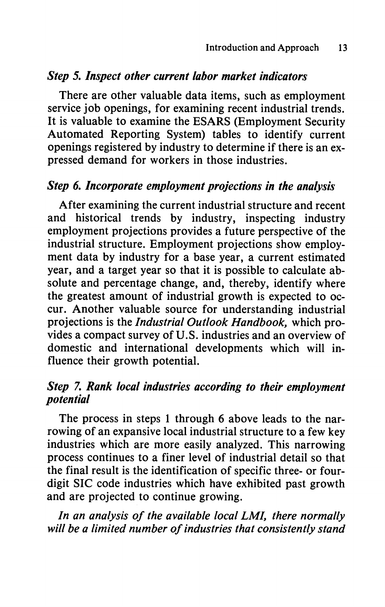#### *Step* 5. *Inspect other current labor market indicators*

There are other valuable data items, such as employment service job openings, for examining recent industrial trends. It is valuable to examine the ESARS (Employment Security Automated Reporting System) tables to identify current openings registered by industry to determine if there is an ex pressed demand for workers in those industries.

#### *Step 6. Incorporate employment projections in the analysis*

After examining the current industrial structure and recent and historical trends by industry, inspecting industry employment projections provides <sup>a</sup> future perspective of the industrial structure. Employment projections show employ ment data by industry for <sup>a</sup> base year, <sup>a</sup> current estimated year, and <sup>a</sup> target year so that it is possible to calculate ab solute and percentage change, and, thereby, identify where the greatest amount of industrial growth is expected to oc cur. Another valuable source for understanding industrial projections is the *Industrial Outlook Handbook,* which pro vides <sup>a</sup> compact survey of U.S. industries and an overview of domestic and international developments which will in fluence their growth potential.

#### *Step 7. Rank local industries according to their employment potential*

The process in steps 1 through 6 above leads to the na<sup>r</sup> rowing of an expansive local industrial structure to <sup>a</sup> few key industries which are more easily analyzed. This narrowing process continues to <sup>a</sup> finer level of industrial detail so that the final result is the identification of specific three- o<sup>r</sup> fourdigit SIC code industries which have exhibited past growth and are projected to continue growing.

*In an analysis of the available local LMI, there normally mil be a limited number of industries that consistently stand*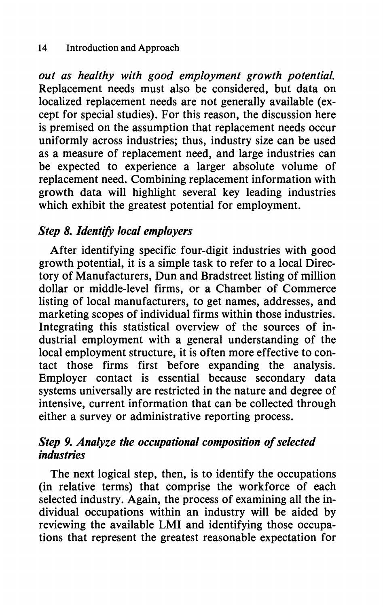*out as healthy with good employment growth potential.*  Replacement needs must also be considered, but data on localized replacement needs are not generally available (ex cept for special studies). For this reason, the discussion here is premised on the assumption that replacement needs occur uniformly across industries; thus, industry size can be used as a measure of replacement need, and large industries can be expected to experience a larger absolute volume of replacement need. Combining replacement information with growth data will highlight several key leading industries which exhibit the greatest potential for employment.

## *Step 8. Identify local employers*

After identifying specific four-digit industries with good growth potential, it is a simple task to refer to a local Direc tory of Manufacturers, Dun and Bradstreet listing of million dollar or middle-level firms, or a Chamber of Commerce listing of local manufacturers, to get names, addresses, and marketing scopes of individual firms within those industries. Integrating this statistical overview of the sources of in dustrial employment with a general understanding of the local employment structure, it is often more effective to con tact those firms first before expanding the analysis. Employer contact is essential because secondary data systems universally are restricted in the nature and degree of intensive, current information that can be collected through either a survey or administrative reporting process.

## *Step 9. Analyze the occupational composition of selected industries*

The next logical step, then, is to identify the occupations (in relative terms) that comprise the workforce of each selected industry. Again, the process of examining all the in dividual occupations within an industry will be aided by reviewing the available LMI and identifying those occupa tions that represent the greatest reasonable expectation for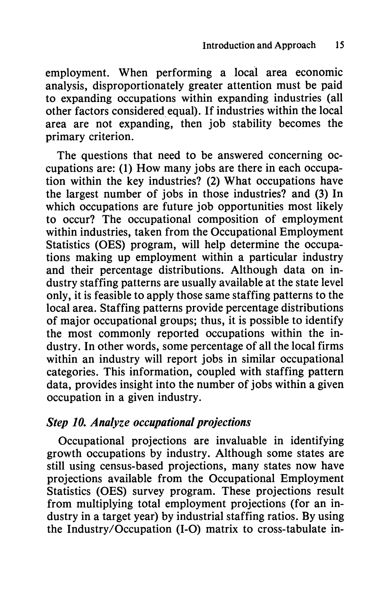employment. When performing <sup>a</sup> local area economic analysis, disproportionately greater attention must be paid to expanding occupations within expanding industries (all other factors considered equal). If industries within the local area are not expanding, then job stability becomes the primary criterion.

The questions that need to be answered concerning oc cupations are: (1) How many jobs are there in each occupa tion within the key industries? (2) What occupations have the largest number of jobs in those industries? and (3) In which occupations are future job opportunities most likely to occur? The occupational composition of employment within industries, taken from the Occupational Employment Statistics (OES) program, will help determine the occupa tions making up employment within <sup>a</sup> particular industry and their percentage distributions. Although data on in dustry staffing patterns are usually available at the state level only, it is feasible to apply those same staffing patterns to the local area. Staffing patterns provide percentage distributions of major occupational groups; thus, it is possible to identify the most commonly reported occupations within the in dustry. In other words, some percentage of all the local firms within an industry will report jobs in similar occupational categories. This information, coupled with staffing pattern data, provides insight into the number of jobs within <sup>a</sup> given occupation in <sup>a</sup> given industry.

#### *Step 10. Analyze occupational projections*

Occupational projections are invaluable in identifying growth occupations by industry. Although some states are still using census-based projections, many states now have projections available from the Occupational Employment Statistics (OES) survey program. These projections result from multiplying total employment projections (for an in dustry in a target year) by industrial staffing ratios. By using the Industry/Occupation (I-O) matrix to cross-tabulate in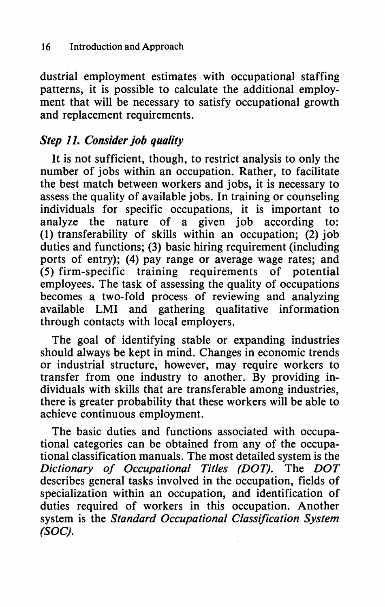dustrial employment estimates with occupational staffing patterns, it is possible to calculate the additional employ ment that will be necessary to satisfy occupational growth and replacement requirements.

# *Step 11. Consider job quality*

It is not sufficient, though, to restrict analysis to only the number of jobs within an occupation. Rather, to facilitate the best match between workers and jobs, it is necessary to assess the quality of available jobs. In training or counseling individuals for specific occupations, it is important to analyze the nature of a given job according to: (1) transferability of skills within an occupation; (2) job duties and functions; (3) basic hiring requirement (including ports of entry); (4) pay range or average wage rates; and (5) firm-specific training requirements of potential employees. The task of assessing the quality of occupations becomes a two-fold process of reviewing and analyzing available LMI and gathering qualitative information through contacts with local employers.

The goal of identifying stable or expanding industries should always be kept in mind. Changes in economic trends or industrial structure, however, may require workers to transfer from one industry to another. By providing in dividuals with skills that are transferable among industries, there is greater probability that these workers will be able to achieve continuous employment.

The basic duties and functions associated with occupa tional categories can be obtained from any of the occupa tional classification manuals. The most detailed system is the *Dictionary of Occupational Titles (DOT).* The *DOT*  describes general tasks involved in the occupation, fields of specialization within an occupation, and identification of duties required of workers in this occupation. Another system is the *Standard Occupational Classification System (SOC).*